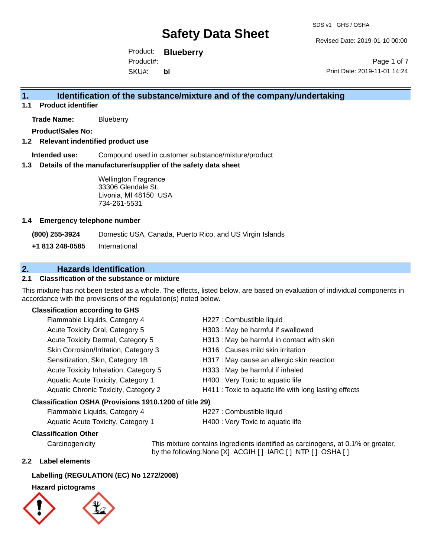Revised Date: 2019-01-10 00:00

Product: **Blueberry** SKU#: Product#: **bl**

Page 1 of 7 Print Date: 2019-11-01 14:24

## **1. Identification of the substance/mixture and of the company/undertaking**

**1.1 Product identifier**

**Trade Name:** Blueberry

**Product/Sales No:**

### **1.2 Relevant indentified product use**

**Intended use:** Compound used in customer substance/mixture/product

#### **1.3 Details of the manufacturer/supplier of the safety data sheet**

Wellington Fragrance 33306 Glendale St. Livonia, MI 48150 USA 734-261-5531

#### **1.4 Emergency telephone number**

**(800) 255-3924** Domestic USA, Canada, Puerto Rico, and US Virgin Islands

**+1 813 248-0585** International

## **2. Hazards Identification**

### **2.1 Classification of the substance or mixture**

This mixture has not been tested as a whole. The effects, listed below, are based on evaluation of individual components in accordance with the provisions of the regulation(s) noted below.

#### **Classification according to GHS**

| Flammable Liquids, Category 4                          | H227 : Combustible liquid                              |
|--------------------------------------------------------|--------------------------------------------------------|
| Acute Toxicity Oral, Category 5                        | H303 : May be harmful if swallowed                     |
| Acute Toxicity Dermal, Category 5                      | H313 : May be harmful in contact with skin             |
| Skin Corrosion/Irritation, Category 3                  | H316 : Causes mild skin irritation                     |
| Sensitization, Skin, Category 1B                       | H317 : May cause an allergic skin reaction             |
| Acute Toxicity Inhalation, Category 5                  | H333: May be harmful if inhaled                        |
| Aquatic Acute Toxicity, Category 1                     | H400 : Very Toxic to aquatic life                      |
| Aquatic Chronic Toxicity, Category 2                   | H411 : Toxic to aquatic life with long lasting effects |
| Classification OSHA (Provisions 1910.1200 of title 29) |                                                        |
|                                                        |                                                        |

## Flammable Liquids, Category 4 H227 : Combustible liquid

| remindere Eigende, Sategory r      | .      |
|------------------------------------|--------|
| Aquatic Acute Toxicity, Category 1 | H400 : |

#### **Classification Other**

Carcinogenicity This mixture contains ingredients identified as carcinogens, at 0.1% or greater, by the following:None [X] ACGIH [ ] IARC [ ] NTP [ ] OSHA [ ]

Very Toxic to aquatic life

#### **2.2 Label elements**

#### **Labelling (REGULATION (EC) No 1272/2008)**

### **Hazard pictograms**

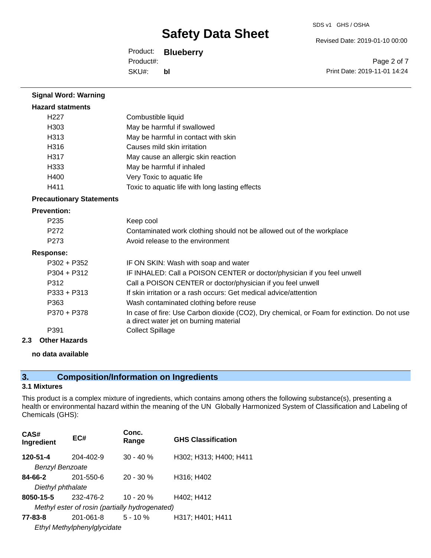Revised Date: 2019-01-10 00:00

Product: **Blueberry** SKU#: Product#: **bl**

Page 2 of 7 Print Date: 2019-11-01 14:24

| <b>Signal Word: Warning</b>     |                                                                                                                                       |
|---------------------------------|---------------------------------------------------------------------------------------------------------------------------------------|
| <b>Hazard statments</b>         |                                                                                                                                       |
| H <sub>22</sub> 7               | Combustible liquid                                                                                                                    |
| H <sub>303</sub>                | May be harmful if swallowed                                                                                                           |
| H313                            | May be harmful in contact with skin                                                                                                   |
| H316                            | Causes mild skin irritation                                                                                                           |
| H317                            | May cause an allergic skin reaction                                                                                                   |
| H333                            | May be harmful if inhaled                                                                                                             |
| H400                            | Very Toxic to aquatic life                                                                                                            |
| H411                            | Toxic to aquatic life with long lasting effects                                                                                       |
| <b>Precautionary Statements</b> |                                                                                                                                       |
| <b>Prevention:</b>              |                                                                                                                                       |
| P <sub>235</sub>                | Keep cool                                                                                                                             |
| P <sub>272</sub>                | Contaminated work clothing should not be allowed out of the workplace                                                                 |
| P273                            | Avoid release to the environment                                                                                                      |
| <b>Response:</b>                |                                                                                                                                       |
| $P302 + P352$                   | IF ON SKIN: Wash with soap and water                                                                                                  |
| $P304 + P312$                   | IF INHALED: Call a POISON CENTER or doctor/physician if you feel unwell                                                               |
| P312                            | Call a POISON CENTER or doctor/physician if you feel unwell                                                                           |
| $P333 + P313$                   | If skin irritation or a rash occurs: Get medical advice/attention                                                                     |
| P363                            | Wash contaminated clothing before reuse                                                                                               |
| P370 + P378                     | In case of fire: Use Carbon dioxide (CO2), Dry chemical, or Foam for extinction. Do not use<br>a direct water jet on burning material |
| P391                            | <b>Collect Spillage</b>                                                                                                               |
| ?<br>Other Hazarde              |                                                                                                                                       |

**2.3 Other Hazards**

## **no data available**

## **3. Composition/Information on Ingredients**

#### **3.1 Mixtures**

This product is a complex mixture of ingredients, which contains among others the following substance(s), presenting a health or environmental hazard within the meaning of the UN Globally Harmonized System of Classification and Labeling of Chemicals (GHS):

| CAS#<br>Ingredient     | EC#                                            | Conc.<br>Range | <b>GHS Classification</b> |
|------------------------|------------------------------------------------|----------------|---------------------------|
| 120-51-4               | 204-402-9                                      | $30 - 40%$     | H302; H313; H400; H411    |
| <b>Benzyl Benzoate</b> |                                                |                |                           |
| 84-66-2                | $201 - 550 - 6$                                | $20 - 30 \%$   | H316; H402                |
| Diethyl phthalate      |                                                |                |                           |
| 8050-15-5              | 232-476-2                                      | $10 - 20 %$    | H402; H412                |
|                        | Methyl ester of rosin (partially hydrogenated) |                |                           |
| 77-83-8                | 201-061-8                                      | $5 - 10 \%$    | H317; H401; H411          |
|                        | Ethyl Methylphenylglycidate                    |                |                           |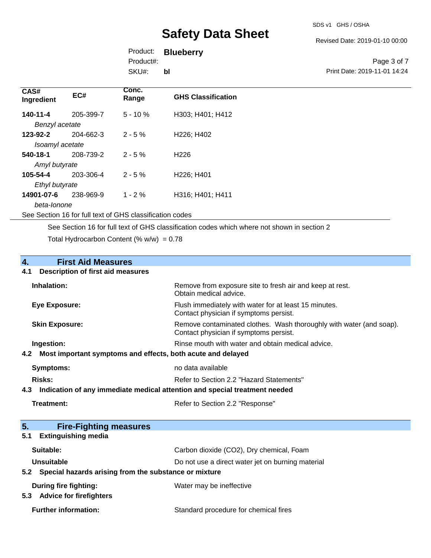Revised Date: 2019-01-10 00:00

Product: **Blueberry** Product#:

SKU#: **bl**

#### Page 3 of 7 Print Date: 2019-11-01 14:24

| CAS#<br>Ingredient | EC#       | Conc.<br>Range                                           | <b>GHS Classification</b>           |
|--------------------|-----------|----------------------------------------------------------|-------------------------------------|
| 140-11-4           | 205-399-7 | $5 - 10%$                                                | H303; H401; H412                    |
| Benzyl acetate     |           |                                                          |                                     |
| 123-92-2           | 204-662-3 | $2 - 5%$                                                 | H226; H402                          |
| Isoamyl acetate    |           |                                                          |                                     |
| 540-18-1           | 208-739-2 | $2 - 5%$                                                 | H <sub>226</sub>                    |
| Amyl butyrate      |           |                                                          |                                     |
| 105-54-4           | 203-306-4 | $2 - 5%$                                                 | H <sub>226</sub> ; H <sub>401</sub> |
| Ethyl butyrate     |           |                                                          |                                     |
| 14901-07-6         | 238-969-9 | $1 - 2\%$                                                | H316; H401; H411                    |
| beta-lonone        |           |                                                          |                                     |
|                    |           | See Section 16 for full text of GHS classification codes |                                     |

See Section 16 for full text of GHS classification codes which where not shown in section 2

Total Hydrocarbon Content (%  $w/w$ ) = 0.78

# **4. First Aid Measures**

#### **4.1 Description of first aid measures**

| Inhalation:                                                     | Remove from exposure site to fresh air and keep at rest.<br>Obtain medical advice.                            |
|-----------------------------------------------------------------|---------------------------------------------------------------------------------------------------------------|
| Eye Exposure:                                                   | Flush immediately with water for at least 15 minutes.<br>Contact physician if symptoms persist.               |
| <b>Skin Exposure:</b>                                           | Remove contaminated clothes. Wash thoroughly with water (and soap).<br>Contact physician if symptoms persist. |
| Ingestion:                                                      | Rinse mouth with water and obtain medical advice.                                                             |
| 4.2 Most important symptoms and effects, both acute and delayed |                                                                                                               |
| <b>Symptoms:</b>                                                | no data available                                                                                             |
| Risks:                                                          | Refer to Section 2.2 "Hazard Statements"                                                                      |
| 4.3                                                             | Indication of any immediate medical attention and special treatment needed                                    |

| Treatment: | Refer to Section 2.2 "Response" |
|------------|---------------------------------|

| 5.<br><b>Fire-Fighting measures</b>                       |                                                   |
|-----------------------------------------------------------|---------------------------------------------------|
| <b>Extinguishing media</b><br>5.1                         |                                                   |
| Suitable:                                                 | Carbon dioxide (CO2), Dry chemical, Foam          |
| Unsuitable                                                | Do not use a direct water jet on burning material |
| 5.2 Special hazards arising from the substance or mixture |                                                   |
| During fire fighting:                                     | Water may be ineffective                          |
| <b>Advice for firefighters</b><br>5.3                     |                                                   |
| <b>Further information:</b>                               | Standard procedure for chemical fires             |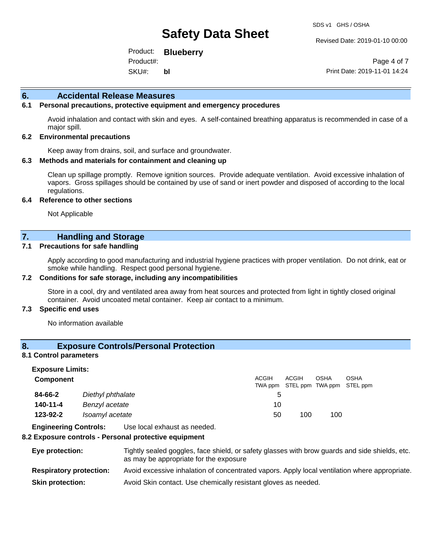Revised Date: 2019-01-10 00:00

Product: **Blueberry** SKU#: Product#: **bl**

Page 4 of 7 Print Date: 2019-11-01 14:24

#### **6. Accidental Release Measures**

#### **6.1 Personal precautions, protective equipment and emergency procedures**

Avoid inhalation and contact with skin and eyes. A self-contained breathing apparatus is recommended in case of a major spill.

#### **6.2 Environmental precautions**

Keep away from drains, soil, and surface and groundwater.

#### **6.3 Methods and materials for containment and cleaning up**

Clean up spillage promptly. Remove ignition sources. Provide adequate ventilation. Avoid excessive inhalation of vapors. Gross spillages should be contained by use of sand or inert powder and disposed of according to the local regulations.

#### **6.4 Reference to other sections**

Not Applicable

### **7. Handling and Storage**

#### **7.1 Precautions for safe handling**

Apply according to good manufacturing and industrial hygiene practices with proper ventilation. Do not drink, eat or smoke while handling. Respect good personal hygiene.

#### **7.2 Conditions for safe storage, including any incompatibilities**

Store in a cool, dry and ventilated area away from heat sources and protected from light in tightly closed original container. Avoid uncoated metal container. Keep air contact to a minimum.

#### **7.3 Specific end uses**

No information available

## **8. Exposure Controls/Personal Protection**

#### **8.1 Control parameters**

| <b>Exposure Limits:</b> |                   |              |       |             |                                           |
|-------------------------|-------------------|--------------|-------|-------------|-------------------------------------------|
| <b>Component</b>        |                   | <b>ACGIH</b> | ACGIH | <b>OSHA</b> | OSHA<br>TWA ppm STEL ppm TWA ppm STEL ppm |
| 84-66-2                 | Diethyl phthalate | 5            |       |             |                                           |
| 140-11-4                | Benzyl acetate    | 10           |       |             |                                           |
| 123-92-2                | Isoamyl acetate   | 50           | 100   | 100         |                                           |

**Engineering Controls:** Use local exhaust as needed.

#### **8.2 Exposure controls - Personal protective equipment**

**Eye protection:** Tightly sealed goggles, face shield, or safety glasses with brow guards and side shields, etc. as may be appropriate for the exposure **Respiratory protection:** Avoid excessive inhalation of concentrated vapors. Apply local ventilation where appropriate. **Skin protection:** Avoid Skin contact. Use chemically resistant gloves as needed.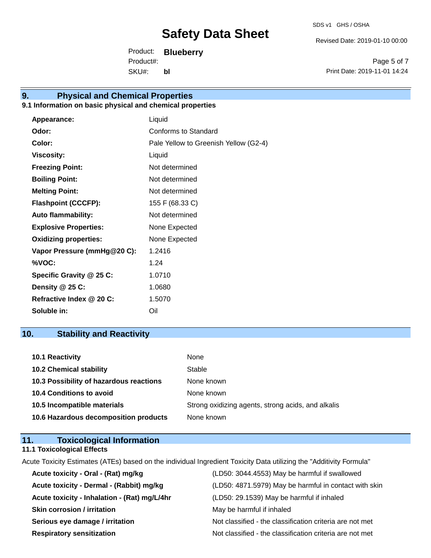Revised Date: 2019-01-10 00:00

Product: **Blueberry** SKU#: Product#: **bl**

Page 5 of 7 Print Date: 2019-11-01 14:24

## **9. Physical and Chemical Properties**

## **9.1 Information on basic physical and chemical properties**

| <b>Appearance:</b>           | Liquid                                |
|------------------------------|---------------------------------------|
| Odor:                        | Conforms to Standard                  |
| Color:                       | Pale Yellow to Greenish Yellow (G2-4) |
| <b>Viscosity:</b>            | Liquid                                |
| <b>Freezing Point:</b>       | Not determined                        |
| <b>Boiling Point:</b>        | Not determined                        |
| <b>Melting Point:</b>        | Not determined                        |
| <b>Flashpoint (CCCFP):</b>   | 155 F (68.33 C)                       |
| <b>Auto flammability:</b>    | Not determined                        |
| <b>Explosive Properties:</b> | None Expected                         |
| <b>Oxidizing properties:</b> | None Expected                         |
| Vapor Pressure (mmHg@20 C):  | 1.2416                                |
| %VOC:                        | 1.24                                  |
| Specific Gravity @ 25 C:     | 1.0710                                |
| Density @ 25 C:              | 1.0680                                |
| Refractive Index @ 20 C:     | 1.5070                                |
| Soluble in:                  | Oil                                   |

## **10. Stability and Reactivity**

| 10.1 Reactivity                         | None                                               |
|-----------------------------------------|----------------------------------------------------|
| <b>10.2 Chemical stability</b>          | Stable                                             |
| 10.3 Possibility of hazardous reactions | None known                                         |
| <b>10.4 Conditions to avoid</b>         | None known                                         |
| 10.5 Incompatible materials             | Strong oxidizing agents, strong acids, and alkalis |
| 10.6 Hazardous decomposition products   | None known                                         |

## **11. Toxicological Information**

**11.1 Toxicological Effects**

Acute Toxicity Estimates (ATEs) based on the individual Ingredient Toxicity Data utilizing the "Additivity Formula"

| Acute toxicity - Oral - (Rat) mg/kg          | (LD50: 3044.4553) May be harmful if swallowed            |
|----------------------------------------------|----------------------------------------------------------|
| Acute toxicity - Dermal - (Rabbit) mg/kg     | (LD50: 4871.5979) May be harmful in contact with skin    |
| Acute toxicity - Inhalation - (Rat) mg/L/4hr | (LD50: 29.1539) May be harmful if inhaled                |
| <b>Skin corrosion / irritation</b>           | May be harmful if inhaled                                |
| Serious eye damage / irritation              | Not classified - the classification criteria are not met |
| <b>Respiratory sensitization</b>             | Not classified - the classification criteria are not met |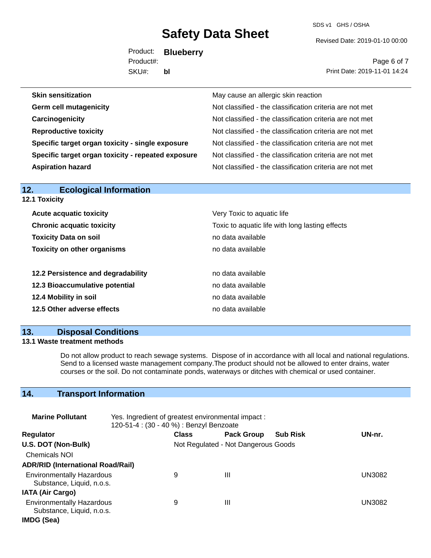SDS v1 GHS / OSHA

Revised Date: 2019-01-10 00:00

Product: **Blueberry** SKU#: Product#: **bl**

Page 6 of 7 Print Date: 2019-11-01 14:24

| <b>Skin sensitization</b>                          | May cause an allergic skin reaction                      |
|----------------------------------------------------|----------------------------------------------------------|
| <b>Germ cell mutagenicity</b>                      | Not classified - the classification criteria are not met |
| Carcinogenicity                                    | Not classified - the classification criteria are not met |
| <b>Reproductive toxicity</b>                       | Not classified - the classification criteria are not met |
| Specific target organ toxicity - single exposure   | Not classified - the classification criteria are not met |
| Specific target organ toxicity - repeated exposure | Not classified - the classification criteria are not met |
| <b>Aspiration hazard</b>                           | Not classified - the classification criteria are not met |

| 12.<br><b>Ecological Information</b> |                                                 |
|--------------------------------------|-------------------------------------------------|
| <b>12.1 Toxicity</b>                 |                                                 |
| <b>Acute acquatic toxicity</b>       | Very Toxic to aquatic life                      |
| <b>Chronic acquatic toxicity</b>     | Toxic to aquatic life with long lasting effects |
| <b>Toxicity Data on soil</b>         | no data available                               |
| <b>Toxicity on other organisms</b>   | no data available                               |
| 12.2 Persistence and degradability   | no data available                               |
| 12.3 Bioaccumulative potential       | no data available                               |
| 12.4 Mobility in soil                | no data available                               |
| 12.5 Other adverse effects           | no data available                               |
|                                      |                                                 |

## **13. Disposal Conditions**

### **13.1 Waste treatment methods**

Do not allow product to reach sewage systems. Dispose of in accordance with all local and national regulations. Send to a licensed waste management company.The product should not be allowed to enter drains, water courses or the soil. Do not contaminate ponds, waterways or ditches with chemical or used container.

## **14. Transport Information**

| <b>Marine Pollutant</b>                                       | Yes. Ingredient of greatest environmental impact:<br>120-51-4 : (30 - 40 %) : Benzyl Benzoate |                                     |                   |                 |               |
|---------------------------------------------------------------|-----------------------------------------------------------------------------------------------|-------------------------------------|-------------------|-----------------|---------------|
| <b>Regulator</b>                                              |                                                                                               | <b>Class</b>                        | <b>Pack Group</b> | <b>Sub Risk</b> | UN-nr.        |
| U.S. DOT (Non-Bulk)                                           |                                                                                               | Not Regulated - Not Dangerous Goods |                   |                 |               |
| <b>Chemicals NOI</b>                                          |                                                                                               |                                     |                   |                 |               |
| <b>ADR/RID (International Road/Rail)</b>                      |                                                                                               |                                     |                   |                 |               |
| <b>Environmentally Hazardous</b><br>Substance, Liquid, n.o.s. |                                                                                               | 9                                   | Ш                 |                 | <b>UN3082</b> |
| <b>IATA (Air Cargo)</b>                                       |                                                                                               |                                     |                   |                 |               |
| <b>Environmentally Hazardous</b><br>Substance, Liquid, n.o.s. |                                                                                               | 9                                   | Ш                 |                 | <b>UN3082</b> |
| IMDG (Sea)                                                    |                                                                                               |                                     |                   |                 |               |